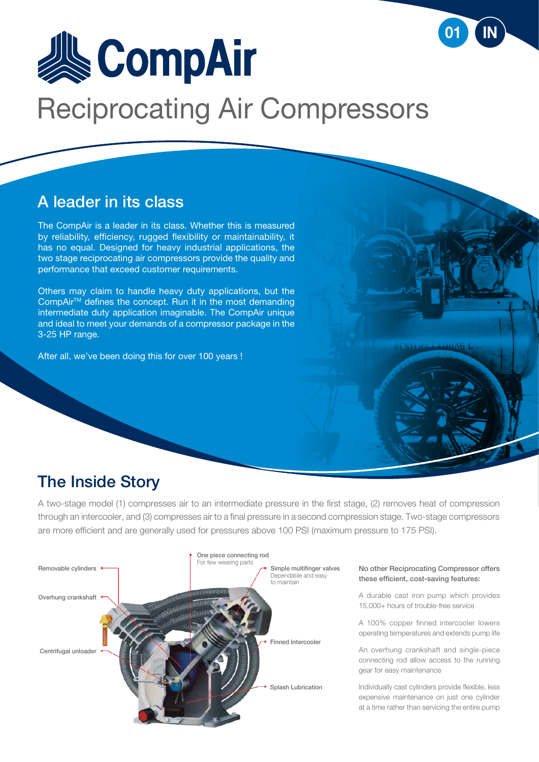

## A leader in its class

The CompAir is a leader in its class. Whether this is measured by reliability, efficiency, rugged flexibility or maintainability, it has no equal. Designed for heavy industrial applications, the two stage reciprocating air compressors provide the quality and performance that exceed customer requirements.

Others may claim to handle heavy duty applications, but the CompAir<sup>™</sup> defines the concept. Run it in the most demanding intermediate duty application imaginable. The CompAir unique and ideal to meet your demands of a compressor package in the 3-25 HP range.

After all, we've been doing this for over 100 years !

### The Inside Story

A two-stage model (1) compresses air to an intermediate pressure in the first stage, (2) removes heat of compression through an intercooler, and (3) compresses air to a final pressure in a second compression stage. Two-stage compressors are more efficient and are generally used for pressures above 100 PSI (maximum pressure to 175 PSI).



No other Reciprocating Compressor offers these efficient, cost-saving features:

**ASING** 

A durable cast iron pump which provides 15,000+ hours of trouble-free service

A 100% copper finned intercooler lowers operating temperatures and extends pump life

An overhung crankshaft and single-piece connecting rod allow access to the running gear for easy maintenance

Individually cast cylinders provide flexible, less expensive maintenance on just one cylinder at a time rather than servicing the entire pump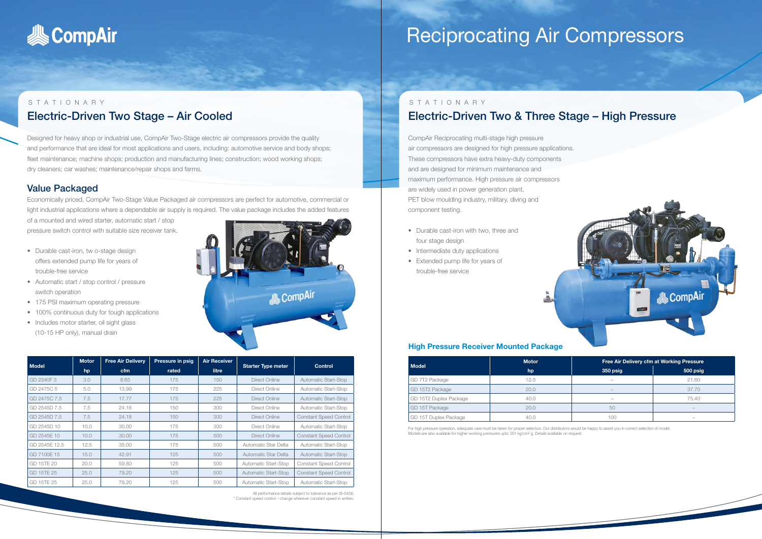

#### STATIONARY Electric-Driven Two Stage – Air Cooled

Designed for heavy shop or industrial use, CompAir Two-Stage electric air compressors provide the quality and performance that are ideal for most applications and users, including: automotive service and body shops; fleet maintenance; machine shops; production and manufacturing lines; construction; wood working shops; dry cleaners; car washes; maintenance/repair shops and farms.

#### Value Packaged

Economically priced, CompAir Two-Stage Value Packaged air compressors are perfect for automotive, commercial or light industrial applications where a dependable air supply is required. The value package includes the added features

of a mounted and wired starter, automatic start / stop pressure switch control with suitable size receiver tank.

- Durable cast-iron, tw o-stage design offers extended pump life for years of trouble-free service
- Automatic start / stop control / pressure switch operation
- 175 PSI maximum operating pressure
- 100% continuous duty for tough applications
- Includes motor starter, oil sight glass (10-15 HP only), manual drain



For high pressure operation, adequate care must be taken for proper selection. Our distributors would be happy to assist you in correct selection of model. Models are also available for higher working pressures upto 351 kg/cm<sup>2</sup> g. Details available on request.



| <b>Model</b>  | <b>Motor</b> | <b>Free Air Delivery</b> | <b>Pressure in psig</b> | <b>Air Receiver</b> | <b>Starter Type meter</b>   | <b>Control</b>                |  |
|---------------|--------------|--------------------------|-------------------------|---------------------|-----------------------------|-------------------------------|--|
|               | hp           | <b>cfm</b>               | rated                   | litre               |                             |                               |  |
| GD 2340F 3    | 3.0          | 8.65                     | 175                     | 150                 | Direct Online               | Automatic Start-Stop          |  |
| GD 2475C 5    | 5.0          | 13.99                    | 175                     | 225                 | Direct Online               | Automatic Start-Stop          |  |
| GD 2475C 7.5  | 7.5          | 17.77                    | 175                     | 225                 | Direct Online               | <b>Automatic Start-Stop</b>   |  |
| GD 2545D 7.5  | 7.5          | 24.18                    | 150                     | 300                 | Direct Online               | Automatic Start-Stop          |  |
| GD 2545D 7.5  | 7.5          | 24.18                    | 150                     | 300                 | Direct Online               | <b>Constant Speed Control</b> |  |
| GD 2545D 10   | 10.0         | 30.00                    | 175                     | 300                 | Direct Online               | Automatic Start-Stop          |  |
| GD 2545E 10   | 10.0         | 30.00                    | 175                     | 500                 | Direct Online               | <b>Constant Speed Control</b> |  |
| GD 2545E 12.5 | 12.5         | 35.00                    | 175                     | 500                 | Automatic Star Delta        | Automatic Start-Stop          |  |
| GD 7100E 15   | 15.0         | 42.91                    | 125                     | 500                 | Automatic Star Delta        | <b>Automatic Start-Stop</b>   |  |
| GD 15TE 20    | 20.0         | 59.80                    | 125                     | 500                 | Automatic Start-Stop        | <b>Constant Speed Control</b> |  |
| GD 15TE 25    | 25.0         | 79.20                    | 125                     | 500                 | <b>Automatic Start-Stop</b> | <b>Constant Speed Control</b> |  |
| GD 15TE 25    | 25.0         | 79.20                    | 125                     | 500                 | Automatic Start-Stop        | Automatic Start-Stop          |  |

All performance details subject to tolerance as per IS–5456. \* Constant speed control – change wherever constant speed in written.

## STATIONARY Electric-Driven Two & Three Stage – High Pressure

CompAir Reciprocating multi-stage high pressure air compressors are designed for high pressure applications. These compressors have extra heavy-duty components and are designed for minimum maintenance and maximum performance. High pressure air compressors are widely used in power generation plant, PET blow moulding industry, military, diving and component testing.

- Durable cast-iron with two, three and four stage design
- Intermediate duty applications
- Extended pump life for years of trouble-free service

#### **High Pressure Receiver Mounted Package**

|                        | <b>Motor</b> | Free Air Delivery cfm at Working Pressure |                          |  |
|------------------------|--------------|-------------------------------------------|--------------------------|--|
| Model                  | hp           | 350 psig                                  | 500 psig                 |  |
| GD 7T2 Package         | 12.5         | $\hspace{0.05cm}$                         | 21.60                    |  |
| GD 15T2 Package        | 20.0         | $\sim$                                    | 37.70                    |  |
| GD 15T2 Duplex Package | 40.0         | $\hspace{0.05cm}$                         | 75.40                    |  |
| GD 15T Package         | 20.0         | 50                                        | $\overline{\phantom{a}}$ |  |
| GD 15T Duplex Package  | 40.0         | 100                                       | $\overline{\phantom{a}}$ |  |

# Reciprocating Air Compressors